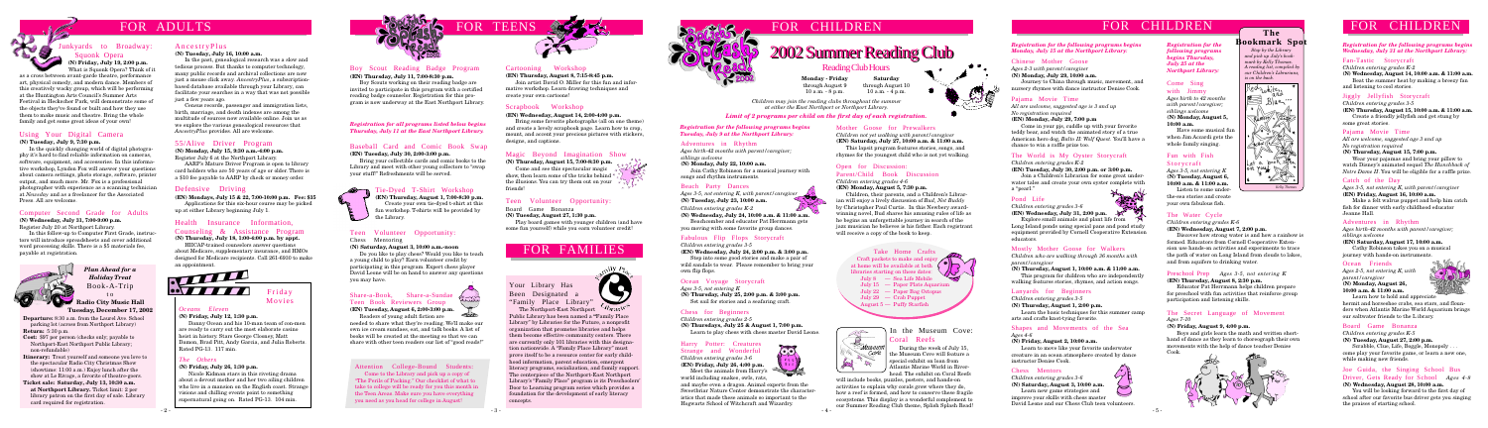# FOR ADULTS

**Departure:** 8:30 a.m. from the Laurel Ave. School parking lot (across from Northport Library) **Return:** 5:30 p.m.

- **Cost:** \$97 per person (checks only; payable to Northport-East Northport Public Library; non-refundable)
- **Itinerary:** Treat yourself and someone you love to the spectacular Radio City Christmas Show (showtime: 11:00 a.m.) Enjoy lunch after the show at Le Rivage, a favorite of theatre-goers.
- **Ticket sale: Saturday, July 13, 10:30 a.m. at Northport Library.** Ticket limit: 2 per library patron on the first day of sale. Library card required for registration.

**Radio City Music Hall Tuesday, December 17, 2002**

# Using Your Digital Camera

**(N) Tuesday, July 9, 7:30 p.m.**

In the quickly changing world of digital photography it's hard to find reliable information on cameras, software, equipment, and accessories. In this informative workshop, Lyndon Fox will answer your questions about camera settings, photo storage, software, printer output, and much more. Mr. Fox is a professional photographer with experience as a scanning technician at *Newsday* and as a freelancer for the Associated Press. All are welcome.

# Teen Volunteer Opportunity:

Chess Mentoring

#### **(N) Saturday, August 3, 10:00 a.m.-noon**

Do you like to play chess? Would you like to teach a young child to play? Earn volunteer credit by participating in this program. Expert chess player David Leone will be on hand to answer any questions you may have.



## Health Insurance Information,

#### Counseling & Assistance Program **(N) Thursday, July 18, 1:00-4:00 p.m. by appt.**

HIICAP-trained counselors answer questions about Medicare, supplementary insurance, and HMOs designed for Medicare recipients. Call 261-6930 to make an appointment.



#### Boy Scout Reading Badge Program **(EN) Thursday, July 11, 7:00-8:30 p.m.**

# 2002 Summer Reading Club 2002 Summer Reading Club

Boy Scouts working on their reading badge are invited to participate in this program with a certified reading badge counselor. Registration for this program is now underway at the East Northport Library.

#### Baseball Card and Comic Book Swap **(EN) Tuesday, July 30, 2:00-3:00 p.m.**

Bring your collectible cards and comic books to the Library and meet with other young collectors to "swap your stuff!" Refreshments will be served.



### **n** Tie-Dyed T-Shirt Workshop

# Share-a-Book, Share-a-Sundae Teen Book Reviewers Group



**(EN) Tuesday, August 6, 2:00-3:00 p.m.** Readers of young adult fiction are

needed to share what they're reading. We'll make our own ice cream sundaes, eat, and talk books. A list of books will be created at the meeting so that we can share with other teen readers our list of "good reads!"

#### Cartooning Workshop **(EN) Thursday, August 8, 7:15-8:45 p.m.**

Join artist David O. Miller for this fun and informative workshop. Learn drawing techniques and create your own cartoons!

#### Magic Beyond Imagination Show

**(N) Thursday, August 15, 7:00-8:30 p.m.**

Come and see this spectacular magic show, then learn some of the tricks behind the illusions. You can try them out on your friends!

### *Limit of 2 programs per child on the first day of each registration.*

#### *The Others*

#### **(N) Friday, July 26, 1:30 p.m.**

Have some musical fu when Jim Accardi gets the whole family singing.

Nicole Kidman stars in this riveting drama about a devout mother and her two ailing children who live in a mansion on the English coast. Strange visions and chilling events point to something supernatural going on. Rated PG-13. 104 min.



Friday Movies

### *Oceans Eleven*

#### **(N) Friday, July 12, 1:30 p.m.**

Danny Ocean and his 10-man team of con-men are ready to carry out the most elaborate casino heist in history. Stars George Clooney, Matt Damon, Brad Pitt, Andy Garcia, and Julia Roberts. Rated PG-13. 117 min.

**Monday - Friday** through August 9 10 a.m. - 8 p.m.

**Saturday** through August 10 10 a.m. - 4 p.m.

Reading Club Hours

# Defensive Driving

**(EN) Mondays, July 15 & 22, 7:00-10:00 p.m. Fee: \$35** Applications for this six-hour course may be picked up at either Library beginning July 1.

## 55/Alive Driver Program

**(N) Monday, July 15, 9:30 a.m.-4:00 p.m.** Register July 6 at the Northport Library.

AARP's Mature Driver Program is open to library card holders who are 50 years of age or older. There is a \$10 fee payable to AARP by check or money order.

# Computer Second Grade for Adults

**(N) Wednesday, July 31, 7:00-9:00 p.m.** Register July 20 at Northport Library.

In this follow-up to Computer First Grade, instructors will introduce spreadsheets and cover additional word processing skills. There is a \$5 materials fee, payable at registration.



#### *Registration for all programs listed below begins Thursday, July 11 at the East Northport Library.*

**(EN) Thursday, August 1, 7:00-8:30 p.m.** Create your own tie-dyed t-shirt at this fun workshop. T-shirts will be provided by the Library.

#### Scrapbook Workshop

**(EN) Wednesday, August 14, 2:00-4:00 p.m.**

Bring some favorite photographs (all on one theme) and create a lovely scrapbook page. Learn how to crop, mount, and accent your precious pictures with stickers, designs, and captions.

#### Teen Volunteer Opportunity:

Board Game Bonanza

**(N) Tuesday, August 27, 1:30 p.m.**

Play board games with younger children (and have some fun yourself) while you earn volunteer credit!

Explore small animals and plant life from  $\gamma$ Long Island ponds using special pans and pond study equipment provided by Cornell Cooperative Extension educators.

#### The Secret Language of Movement *Ages 7-10*

#### **(N) Friday, August 9, 4:00 p.m.**

Boys and girls learn the math and written shorthand of dance as they learn to choreograph their own movements with the help of dance teacher Denise Cook.



#### Fun with Fish Storycraft

**(N) Wednesday, August 14, 10:00 a.m. & 11:00 a.m.** Beat the summer heat by making a breezy

*Ages 3-5, not entering K* **(N) Tuesday, August 6, 10:00 a.m. & 11:00 a.m.** Listen to some under-

#### *Registration for the following programs begins Wednesday, July 31 at the Northport Libra*

the-sea stories and create your own fabulous fish.

# Joe Guida, the Singing School Bus Driver, Gets Ready for School *Ages*

#### The Water Cycle

*Children entering grades K-6*

**(EN) Wednesday, August 7, 2:00 p.m.**

You will be looking forward to the first day school after our favorite bus driver gets you sing the praises of starting school.







| m.<br>egin<br><i><b>iry:</b></i>      |
|---------------------------------------|
| $\mathbf{0}$ a.m<br>fan               |
| ) a.m.<br>7                           |
| $\overline{5}$<br>ck of<br>.<br>prize |
| utch                                  |
|                                       |
|                                       |
| ın-<br>:ings                          |
| ne,                                   |
| S<br>$4-8$                            |
| of<br>nging                           |

Discover how strong water is and how a rainbow is formed. Educators from Cornell Cooperative Extension use hands-on activities and experiments to trace the path of water on Long Island from clouds to lakes, and from aquifers to drinking water.

> Scrabble, Clue, Life, Boggle, Monopoly. come play your favorite game, or learn a new one while making new friends.

#### Preschool Prep *Ages 3-5, not entering K* **(EN) Thursday, August 8, 2:30 p.m.**

Educator Pat Herrmann helps children prepare for preschool with fun activities that reinforce group participation and listening skills.

Make a felt walrus puppet and help him ca fish for dinner with early childhood educator Jeanne Hall.

#### Come Sing with Jimmy

**(N) Thursday, August 15, 7:00 p.m.** Wear your pajamas and bring your pillow to

watch Disney's animated sequel *The Hunchback Notre Dame II.* You will be eligible for a raffle p

*Ages birth to 42 months with parent/caregiver; siblings welcome* **(N) Monday, August 5, 10:00 a.m.**

*Registration for the following programs begins Thursday, July 25 at the Northport Library:*

#### Chess Mentors

*Children entering grades 3-6* **(N) Saturday, August 3, 10:00 a.m.**

Learn new game strategies and improve your skills with chess master David Leone and our Chess Club teen volunteers.

#### Shapes and Movements of the Sea *Ages 4-6*

- 2 - - 3 - - 4 and maybe even a dragon. Animal experts from the Sweetbriar Nature Center demonstrate the characteristics that made these animals so important to the Hogwarts School of Witchcraft and Wizardry.

#### **(N) Friday, August 2, 10:00 a.m.**

Learn to move like your favorite underwater creature in an ocean atmosphere created by dance instructor Denise Cook.

#### *Registration for the following programs begins Tuesday, July 9 at the Northport Library:*

#### Open for Discussion: Parent/Child Book Discussion *Children entering grades 4-6*

Book-A-Trip t o *Plan Ahead for a Holiday Treat*

**(EN) Monday, August 5, 7:30 p.m.**

Children, their parents, and a Children's Librarian will enjoy a lively discussion of *Bud, Not Buddy* by Christopher Paul Curtis. In this Newbery awardwinning novel, Bud shares his amusing rules of life as he begins an unforgettable journey in search of the jazz musician he believes is his father. Each registrant will receive a copy of the book to keep.

#### Mother Goose for Prewalkers

*Children not yet walking with parent/caregiver* **(EN) Saturday, July 27, 10:00 a.m. & 11:00 a.m.**

This lapsit program features stories, songs, and rhymes for the youngest child who is not yet walking.

#### Chess for Beginners

*Children entering grades 2-5*

**(N) Thursdays, July 25 & August 1, 7:00 p.m.** Learn to play chess with chess master David Leone.

 $\bullet$ 

#### Ocean Voyage Storycraft

*Ages 3-5, not entering K*

**(N) Thursday, July 25, 2:00 p.m. & 3:00 p.m.** Set sail for stories and a seafaring craft.

#### Fabulous Flip Flops Storycraft

*Children entering grades 3-5*

**(EN) Wednesday, July 24, 2:00 p.m. & 3:00 p.m.** Step into some good stories and make a pair of wild sandals to wear. Please remember to bring your own flip flops.

#### Beach Party Dances

*Ages 3-5, not entering K, with parent/caregiver* **(N) Tuesday, July 23, 10:00 a.m.**

*Children entering grades K-2*

**(N) Wednesday, July 24, 10:00 a.m. & 11:00 a.m.** Beachcomber and educator Pat Herrmann gets you moving with some favorite group dances.

#### Adventures in Rhythm

*Ages birth-42 months with parent/caregiver; siblings welcome*

**(N) Monday, July 22, 10:00 a.m.**

Join Cathy Robinson for a musical journey with songs and rhythm instruments.

#### *Registration for the following programs begins Monday, July 15 at the Northport Library:*

#### Lanyards for Beginners

*Children entering grades 3-5*

#### **(N) Thursday, August 1, 2:00 p.m.**

Learn the basic techniques for this summer camp arts and crafts knot-tying favorite.

#### Chinese Mother Goose

*Ages 2-3 with parent/caregiver* **(N) Monday, July 29, 10:00 a.m.** Journey to China through music, movement, and nursery rhymes with dance instructor Denise Cook.

# FOR CHILDREN

# Junkyards to Broadway: Squonk Opera  **(N) Friday, July 19, 2:00 p.m.**

What is Squonk Opera? Think of it

# FOR CHILDREN

### Your Library Has Been Designated a "Family Place Library"

The Northport-East Northport Public Library has been named a **"**Family Place Library" by Libraries for the Future, a nonprofit organization that promotes libraries and helps them become effective community centers. There are currently only 101 libraries with this designation nationwide. A "Family Place Library" must prove itself to be a resource center for early childhood information, parent education, emergent literacy programs, socialization, and family support. The centerpiece of the Northport-East Northport Library's "Family Place" program is its Preschoolers' Door to Learning program series which provides a foundation for the development of early literacy concepts.



#### Mostly Mother Goose for Walkers

*Children who are walking through 36 months with parent/caregiver*

**(N) Thursday, August 1, 10:00 a.m. & 11:00 a.m.**

This program for children who are independently walking features stories, rhymes, and action songs.

#### Pond Life

*Children entering grades 3-6* **(EN) Wednesday, July 31, 2:00 p.m.**

#### The World is My Oyster Storycraft

*Children entering grades K-2*

#### **(EN) Tuesday, July 30, 2:00 p.m. or 3:00 p.m.**

Join a Children's Librarian for some great underwater tales and create your own oyster complete with a "pearl."

#### Pajama Movie Time

*All are welcome, suggested age is 3 and up No registration required*

#### **(EN) Monday, July 29, 7:00 p.m**

Come in your pjs, cuddle up with your favorite teddy bear, and watch the animated story of a true American hero dog, *Balto II: Wolf Quest*. You'll have a chance to win a raffle prize too.

#### Fan-Tastic Storycraft

*Children entering grades K-2*

and listening to cool stories.

**(N) Wednesday, August 28, 10:00 a.m.**

#### Board Game Bonanza

*Children entering grades K-5*

**(N) Tuesday, August 27, 2:00 p.m.**

#### Ocean Friends

*Ages 2-5, not entering K, with parent/caregiver* **(N) Monday, August 26, 10:00 a.m. & 11:00 a.m.**

 $\bullet$ 

Learn how to hold and appreciate hermit and horseshoe crabs, sea stars, and flou ders when Atlantis Marine World Aquarium br our saltwater friends to the L ibrary.

#### Adventures in Rhythm

*Ages birth-42 months with parent/caregiver; siblings welcome*

**(EN) Saturday, August 17, 10:00 a.m.**

Cathy Robinson takes you on a musical journey with hands-on instruments.

#### Catch of the Day

*Ages 3-5, not entering K, with parent/caregiver* **(EN) Friday, August 16, 10:00 a.m.**

#### Pajama Movie Time

*All are welcome, suggested age 3 and up No registration required*

### Jiggly Jellyfish Storycraft

*Children entering grades 3-5* **(EN) Thursday, August 15, 10:00 a.m. & 11:00 a.m.**

Create a friendly jellyfish and get stung by some great stories.

# **Bookmark Spot**

 *Stop by the Library and pick up July's bookmark by Kelly Thomas. A reading list, compiled by our Children's Librarians, is on the back.*



# The **FOR CHILDREN**

# FOR FAMILIES

#### Harry Potter: Creatures Strange and Wonderful

*Children entering grades 3-6* **(EN) Friday, July 26, 4:00 p.m.**

Meet the animals from Harry's world including snakes, owls, rats,

### Attention College-Bound Students:

Come to the Library and pick up a copy of "The Perils of Packing." Our checklist of what to take to college will be ready for you this month in the Teen Areas. Make sure you have everything you need as you head for college in August!

*Children may join the reading clubs throughout the summer at either the East Northport or Northport Library.*

### AncestryPlus

#### **(N) Tuesday, July 16, 10:00 a.m.**

In the past, genealogical research was a slow and tedious process. But thanks to computer technology, many public records and archival collections are now just a mouse click away. *AncestryPlus*, a subscriptionbased database available through your Library, can facilitate your searches in a way that was not possible just a few years ago.

Census records, passenger and immigration lists, birth, marriage, and death indexes are among the multitude of sources now available online. Join us as we explore the various genealogical resources that *AncestryPlus* provides. All are welcome.

> Take Home Crafts Craft packets to make and enjoy at home will be available at both libraries starting on these dates: July 8 — Sea Life Mobile July 15 — Paper Plate Aquarium July 22 — Paper Bag Octopus

- July 29 Crab Puppet
- August 5 Puffy Starfish
- 



as a cross between avant-garde theatre, performance art, physical comedy, and modern dance. Members of this creatively wacky group, which will be performing at the Huntington Arts Council's Summer Arts Festival in Heckscher Park, will demonstrate some of the objects they've found or built and how they use them to make music and theatre. Bring the whole family and get some great ideas of your own!

### In the Museum Cove: Coral Reefs

During the week of July 15, the Museum Cove will feature a special exhibit on loan from Atlantis Marine World in Riverhead. The exhibit on Coral Reefs

will include books, puzzles, posters, and hands-on activities to explain why corals grow where they do, how a reef is formed, and how to conserve these fragile ecosystems. This display is a wonderful complement to our Summer Reading Club theme, Splish Splash Read!